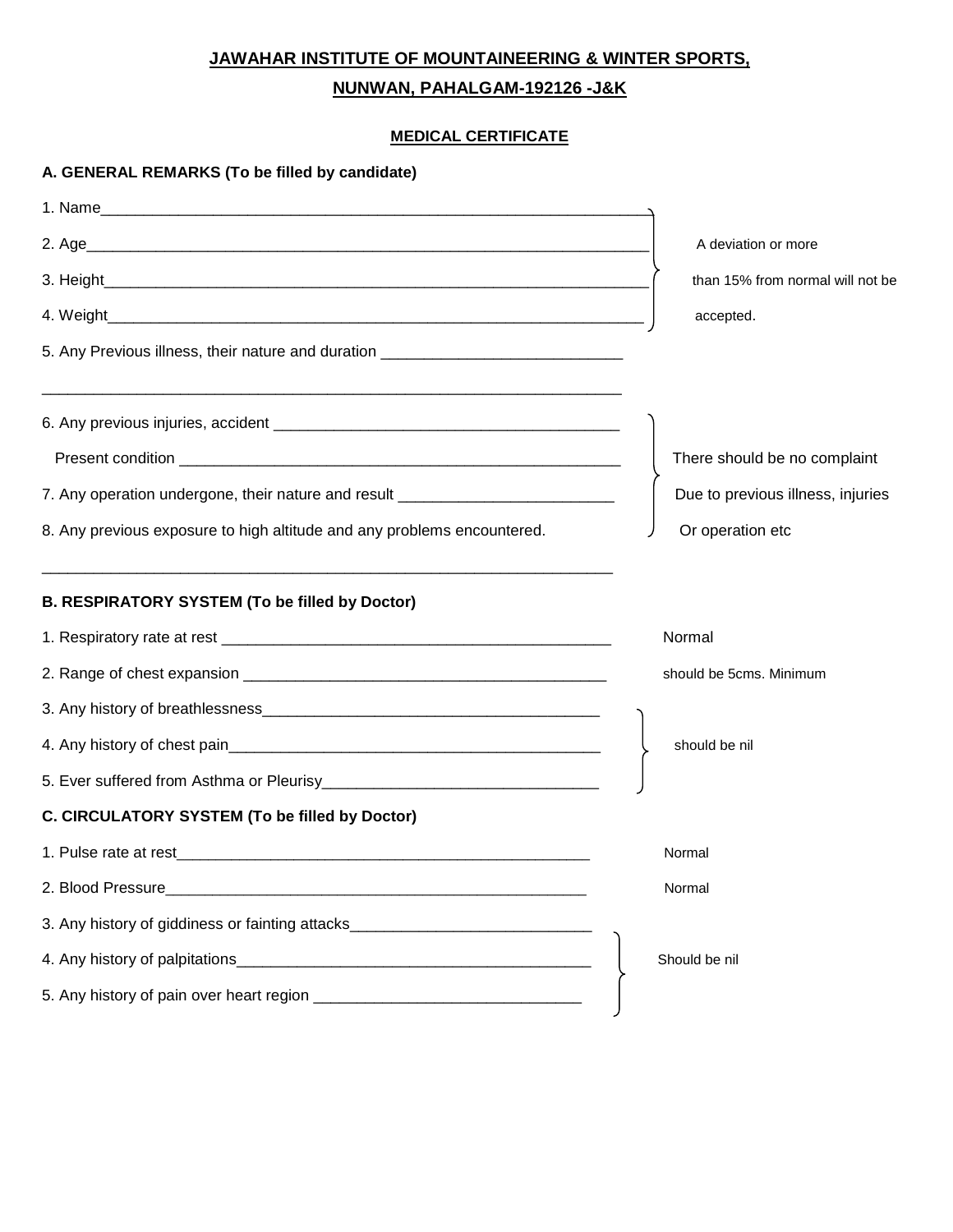## **JAWAHAR INSTITUTE OF MOUNTAINEERING & WINTER SPORTS,**

## **NUNWAN, PAHALGAM-192126 -J&K**

## **MEDICAL CERTIFICATE**

| A. GENERAL REMARKS (To be filled by candidate)                                   |                                   |
|----------------------------------------------------------------------------------|-----------------------------------|
|                                                                                  |                                   |
|                                                                                  | A deviation or more               |
|                                                                                  | than 15% from normal will not be  |
|                                                                                  | accepted.                         |
| 5. Any Previous illness, their nature and duration _____________________________ |                                   |
|                                                                                  |                                   |
|                                                                                  |                                   |
|                                                                                  | There should be no complaint      |
| 7. Any operation undergone, their nature and result ____________________________ | Due to previous illness, injuries |
| 8. Any previous exposure to high altitude and any problems encountered.          | Or operation etc                  |
|                                                                                  |                                   |
| <b>B. RESPIRATORY SYSTEM (To be filled by Doctor)</b>                            |                                   |
|                                                                                  | Normal                            |
|                                                                                  | should be 5cms. Minimum           |
|                                                                                  |                                   |
|                                                                                  | should be nil                     |
|                                                                                  |                                   |
| C. CIRCULATORY SYSTEM (To be filled by Doctor)                                   |                                   |
| 1. Pulse rate at rest                                                            | Normal                            |
|                                                                                  | Normal                            |
| 3. Any history of giddiness or fainting attacks_________________________________ |                                   |
|                                                                                  | Should be nil                     |
|                                                                                  |                                   |
|                                                                                  |                                   |